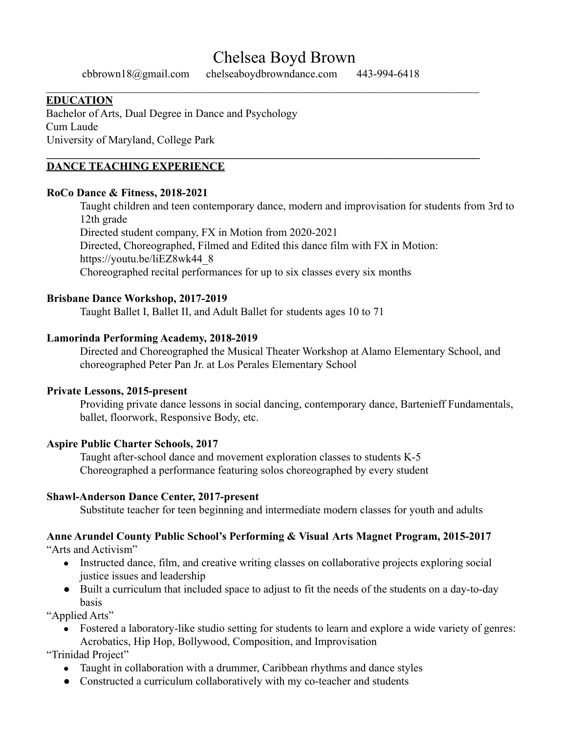# Chelsea Boyd Brown

 $\_$  , and the contribution of the contribution of the contribution of the contribution of  $\mathcal{L}_\text{max}$ 

**\_\_\_\_\_\_\_\_\_\_\_\_\_\_\_\_\_\_\_\_\_\_\_\_\_\_\_\_\_\_\_\_\_\_\_\_\_\_\_\_\_\_\_\_\_\_\_\_\_\_\_\_\_\_\_\_\_\_\_\_\_\_\_\_\_\_\_\_\_\_\_\_\_\_\_\_\_\_**

cbbrown18@gmail.com chelseaboydbrowndance.com 443-994-6418

#### **EDUCATION**

Bachelor of Arts, Dual Degree in Dance and Psychology Cum Laude University of Maryland, College Park

#### **DANCE TEACHING EXPERIENCE**

#### **RoCo Dance & Fitness, 2018-2021**

Taught children and teen contemporary dance, modern and improvisation for students from 3rd to 12th grade Directed student company, FX in Motion from 2020-2021 Directed, Choreographed, Filmed and Edited this dance film with FX in Motion: https://youtu.be/liEZ8wk44\_8 Choreographed recital performances for up to six classes every six months

#### **Brisbane Dance Workshop, 2017-2019**

Taught Ballet I, Ballet II, and Adult Ballet for students ages 10 to 71

#### **Lamorinda Performing Academy, 2018-2019**

Directed and Choreographed the Musical Theater Workshop at Alamo Elementary School, and choreographed Peter Pan Jr. at Los Perales Elementary School

#### **Private Lessons, 2015-present**

Providing private dance lessons in social dancing, contemporary dance, Bartenieff Fundamentals, ballet, floorwork, Responsive Body, etc.

#### **Aspire Public Charter Schools, 2017**

Taught after-school dance and movement exploration classes to students K-5 Choreographed a performance featuring solos choreographed by every student

#### **Shawl-Anderson Dance Center, 2017-present**

Substitute teacher for teen beginning and intermediate modern classes for youth and adults

#### **Anne Arundel County Public School's Performing & Visual Arts Magnet Program, 2015-2017** "Arts and Activism"

- Instructed dance, film, and creative writing classes on collaborative projects exploring social justice issues and leadership
- Built a curriculum that included space to adjust to fit the needs of the students on a day-to-day basis

"Applied Arts"

• Fostered a laboratory-like studio setting for students to learn and explore a wide variety of genres: Acrobatics, Hip Hop, Bollywood, Composition, and Improvisation

"Trinidad Project"

- Taught in collaboration with a drummer, Caribbean rhythms and dance styles
- Constructed a curriculum collaboratively with my co-teacher and students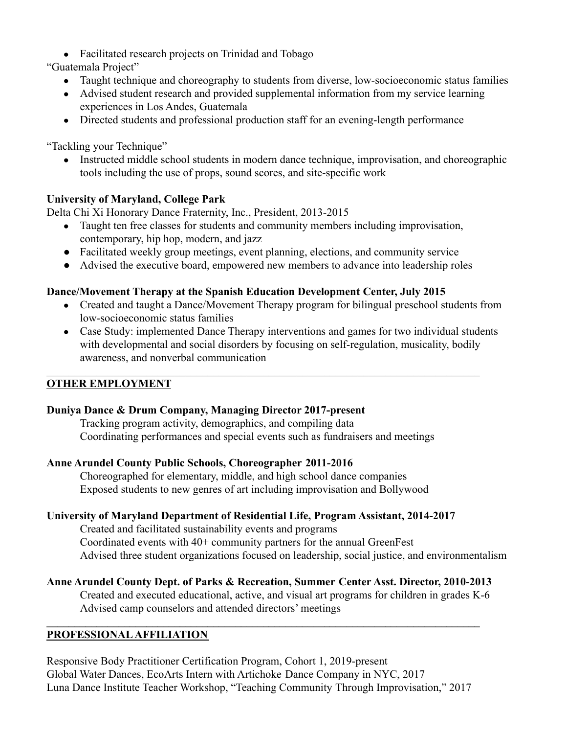• Facilitated research projects on Trinidad and Tobago

"Guatemala Project"

- Taught technique and choreography to students from diverse, low-socioeconomic status families
- Advised student research and provided supplemental information from my service learning experiences in Los Andes, Guatemala
- Directed students and professional production staff for an evening-length performance

"Tackling your Technique"

• Instructed middle school students in modern dance technique, improvisation, and choreographic tools including the use of props, sound scores, and site-specific work

# **University of Maryland, College Park**

Delta Chi Xi Honorary Dance Fraternity, Inc., President, 2013-2015

- Taught ten free classes for students and community members including improvisation, contemporary, hip hop, modern, and jazz
- Facilitated weekly group meetings, event planning, elections, and community service
- Advised the executive board, empowered new members to advance into leadership roles

# **Dance/Movement Therapy at the Spanish Education Development Center, July 2015**

- Created and taught a Dance/Movement Therapy program for bilingual preschool students from low-socioeconomic status families
- Case Study: implemented Dance Therapy interventions and games for two individual students with developmental and social disorders by focusing on self-regulation, musicality, bodily awareness, and nonverbal communication

# **OTHER EMPLOYMENT**

# **Duniya Dance & Drum Company, Managing Director 2017-present**

Tracking program activity, demographics, and compiling data Coordinating performances and special events such as fundraisers and meetings

 $\_$  , and the contribution of the contribution of the contribution of the contribution of  $\mathcal{L}_\text{max}$ 

# **Anne Arundel County Public Schools, Choreographer 2011-2016**

Choreographed for elementary, middle, and high school dance companies Exposed students to new genres of art including improvisation and Bollywood

# **University of Maryland Department of Residential Life, Program Assistant, 2014-2017**

Created and facilitated sustainability events and programs Coordinated events with 40+ community partners for the annual GreenFest Advised three student organizations focused on leadership, social justice, and environmentalism

# **Anne Arundel County Dept. of Parks & Recreation, Summer Center Asst. Director, 2010-2013**

**\_\_\_\_\_\_\_\_\_\_\_\_\_\_\_\_\_\_\_\_\_\_\_\_\_\_\_\_\_\_\_\_\_\_\_\_\_\_\_\_\_\_\_\_\_\_\_\_\_\_\_\_\_\_\_\_\_\_\_\_\_\_\_\_\_\_\_\_\_\_\_\_\_\_\_\_\_\_**

Created and executed educational, active, and visual art programs for children in grades K-6 Advised camp counselors and attended directors' meetings

# **PROFESSIONAL AFFILIATION**

Responsive Body Practitioner Certification Program, Cohort 1, 2019-present Global Water Dances, EcoArts Intern with Artichoke Dance Company in NYC, 2017 Luna Dance Institute Teacher Workshop, "Teaching Community Through Improvisation," 2017